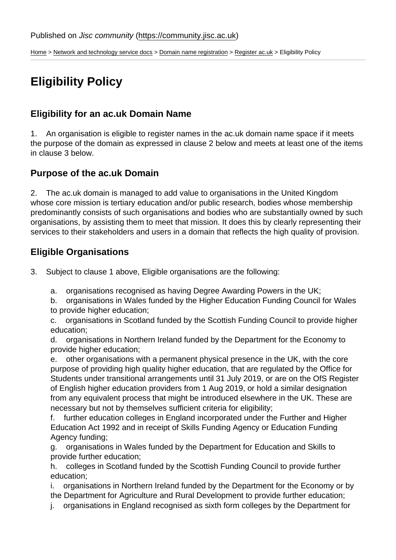[Home](https://community.jisc.ac.uk/) > [Network and technology service docs](https://community.jisc.ac.uk/library/janet-services-documentation) > [Domain name registration](https://community.jisc.ac.uk/library/janet-services-documentation/domain-name-registration) > [Register ac.uk](https://community.jisc.ac.uk/library/janet-services-documentation/register-acuk) > Eligibility Policy

# Eligibility Policy

#### Eligibility for an ac.uk Domain Name

1. An organisation is eligible to register names in the ac.uk domain name space if it meets the purpose of the domain as expressed in clause 2 below and meets at least one of the items in clause 3 below.

### Purpose of the ac.uk Domain

2. The ac.uk domain is managed to add value to organisations in the United Kingdom whose core mission is tertiary education and/or public research, bodies whose membership predominantly consists of such organisations and bodies who are substantially owned by such organisations, by assisting them to meet that mission. It does this by clearly representing their services to their stakeholders and users in a domain that reflects the high quality of provision.

#### Eligible Organisations

- 3. Subject to clause 1 above, Eligible organisations are the following:
	- a. organisations recognised as having Degree Awarding Powers in the UK;
	- b. organisations in Wales funded by the Higher Education Funding Council for Wales to provide higher education;
	- c. organisations in Scotland funded by the Scottish Funding Council to provide higher education;
	- d. organisations in Northern Ireland funded by the Department for the Economy to provide higher education;

e. other organisations with a permanent physical presence in the UK, with the core purpose of providing high quality higher education, that are regulated by the Office for Students under transitional arrangements until 31 July 2019, or are on the OfS Register of English higher education providers from 1 Aug 2019, or hold a similar designation from any equivalent process that might be introduced elsewhere in the UK. These are necessary but not by themselves sufficient criteria for eligibility;

f. further education colleges in England incorporated under the Further and Higher Education Act 1992 and in receipt of Skills Funding Agency or Education Funding Agency funding;

g. organisations in Wales funded by the Department for Education and Skills to provide further education;

h. colleges in Scotland funded by the Scottish Funding Council to provide further education;

i. organisations in Northern Ireland funded by the Department for the Economy or by the Department for Agriculture and Rural Development to provide further education;

j. organisations in England recognised as sixth form colleges by the Department for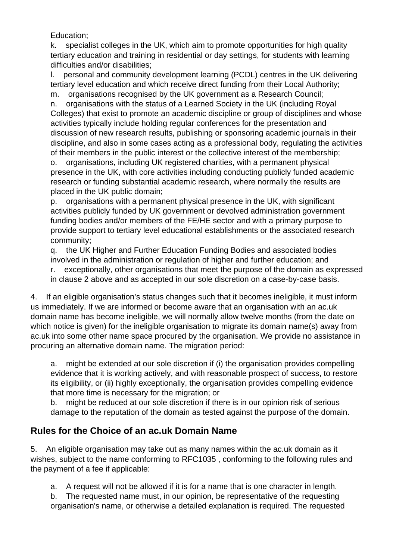Education;

k. specialist colleges in the UK, which aim to promote opportunities for high quality tertiary education and training in residential or day settings, for students with learning difficulties and/or disabilities;

l. personal and community development learning (PCDL) centres in the UK delivering tertiary level education and which receive direct funding from their Local Authority; m. organisations recognised by the UK government as a Research Council;

n. organisations with the status of a Learned Society in the UK (including Royal Colleges) that exist to promote an academic discipline or group of disciplines and whose activities typically include holding regular conferences for the presentation and discussion of new research results, publishing or sponsoring academic journals in their discipline, and also in some cases acting as a professional body, regulating the activities of their members in the public interest or the collective interest of the membership;

o. organisations, including UK registered charities, with a permanent physical presence in the UK, with core activities including conducting publicly funded academic research or funding substantial academic research, where normally the results are placed in the UK public domain;

p. organisations with a permanent physical presence in the UK, with significant activities publicly funded by UK government or devolved administration government funding bodies and/or members of the FE/HE sector and with a primary purpose to provide support to tertiary level educational establishments or the associated research community;

q. the UK Higher and Further Education Funding Bodies and associated bodies involved in the administration or regulation of higher and further education; and

r. exceptionally, other organisations that meet the purpose of the domain as expressed in clause 2 above and as accepted in our sole discretion on a case-by-case basis.

4. If an eligible organisation's status changes such that it becomes ineligible, it must inform us immediately. If we are informed or become aware that an organisation with an ac.uk domain name has become ineligible, we will normally allow twelve months (from the date on which notice is given) for the ineligible organisation to migrate its domain name(s) away from ac.uk into some other name space procured by the organisation. We provide no assistance in procuring an alternative domain name. The migration period:

a. might be extended at our sole discretion if (i) the organisation provides compelling evidence that it is working actively, and with reasonable prospect of success, to restore its eligibility, or (ii) highly exceptionally, the organisation provides compelling evidence that more time is necessary for the migration; or

b. might be reduced at our sole discretion if there is in our opinion risk of serious damage to the reputation of the domain as tested against the purpose of the domain.

## **Rules for the Choice of an ac.uk Domain Name**

5. An eligible organisation may take out as many names within the ac.uk domain as it wishes, subject to the name conforming to RFC1035 , conforming to the following rules and the payment of a fee if applicable:

a. A request will not be allowed if it is for a name that is one character in length.

b. The requested name must, in our opinion, be representative of the requesting organisation's name, or otherwise a detailed explanation is required. The requested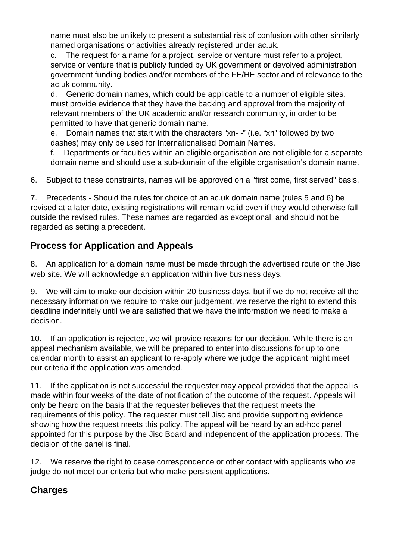name must also be unlikely to present a substantial risk of confusion with other similarly named organisations or activities already registered under ac.uk.

c. The request for a name for a project, service or venture must refer to a project, service or venture that is publicly funded by UK government or devolved administration government funding bodies and/or members of the FE/HE sector and of relevance to the ac.uk community.

d. Generic domain names, which could be applicable to a number of eligible sites, must provide evidence that they have the backing and approval from the majority of relevant members of the UK academic and/or research community, in order to be permitted to have that generic domain name.

e. Domain names that start with the characters "xn- -" (i.e. "xn" followed by two dashes) may only be used for Internationalised Domain Names.

f. Departments or faculties within an eligible organisation are not eligible for a separate domain name and should use a sub-domain of the eligible organisation's domain name.

6. Subject to these constraints, names will be approved on a "first come, first served" basis.

7. Precedents - Should the rules for choice of an ac.uk domain name (rules 5 and 6) be revised at a later date, existing registrations will remain valid even if they would otherwise fall outside the revised rules. These names are regarded as exceptional, and should not be regarded as setting a precedent.

# **Process for Application and Appeals**

8. An application for a domain name must be made through the advertised route on the Jisc web site. We will acknowledge an application within five business days.

9. We will aim to make our decision within 20 business days, but if we do not receive all the necessary information we require to make our judgement, we reserve the right to extend this deadline indefinitely until we are satisfied that we have the information we need to make a decision.

10. If an application is rejected, we will provide reasons for our decision. While there is an appeal mechanism available, we will be prepared to enter into discussions for up to one calendar month to assist an applicant to re-apply where we judge the applicant might meet our criteria if the application was amended.

11. If the application is not successful the requester may appeal provided that the appeal is made within four weeks of the date of notification of the outcome of the request. Appeals will only be heard on the basis that the requester believes that the request meets the requirements of this policy. The requester must tell Jisc and provide supporting evidence showing how the request meets this policy. The appeal will be heard by an ad-hoc panel appointed for this purpose by the Jisc Board and independent of the application process. The decision of the panel is final.

12. We reserve the right to cease correspondence or other contact with applicants who we judge do not meet our criteria but who make persistent applications.

# **Charges**